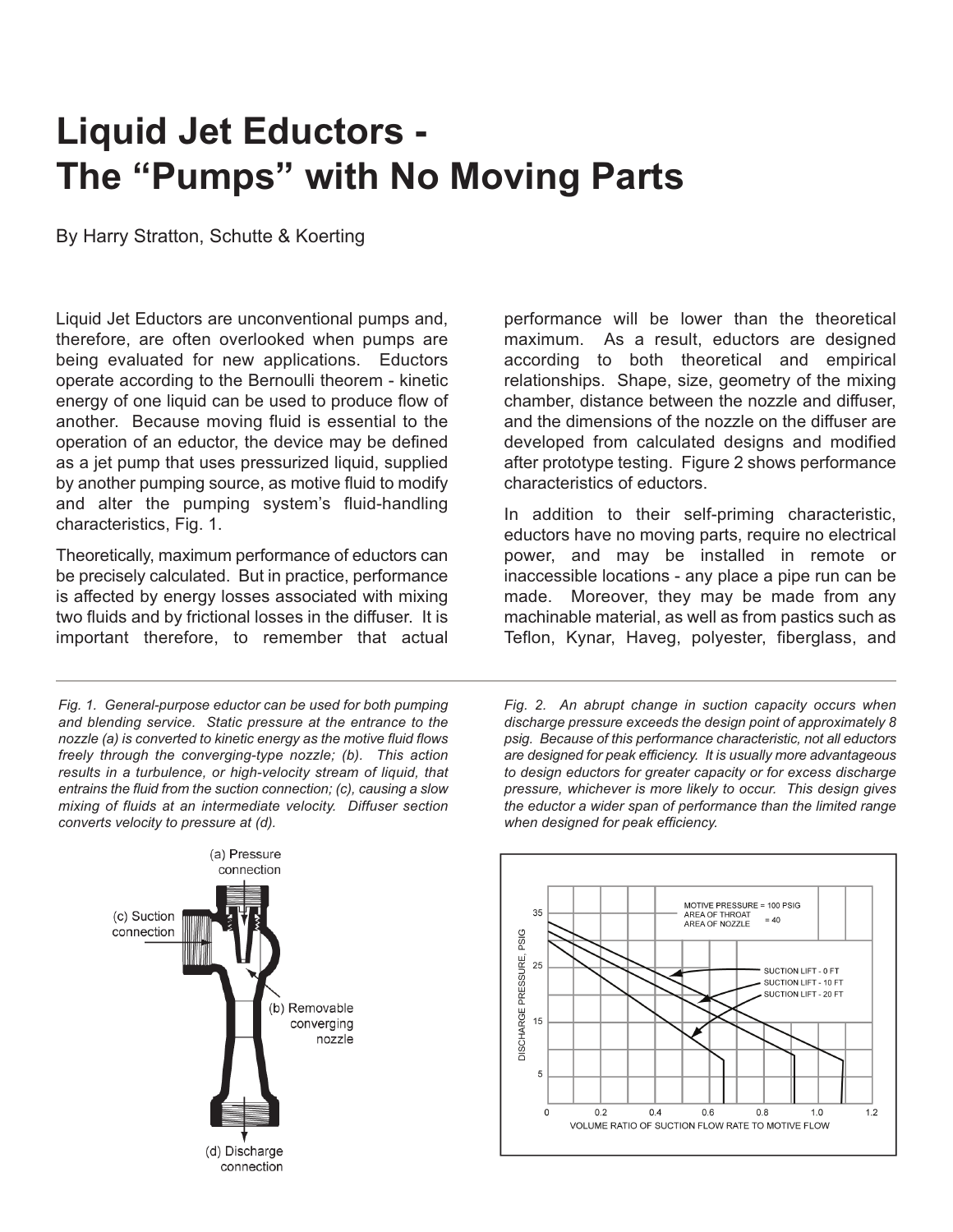## **Liquid Jet Eductors - The "Pumps" with No Moving Parts**

By Harry Stratton, Schutte & Koerting

Liquid Jet Eductors are unconventional pumps and, therefore, are often overlooked when pumps are being evaluated for new applications. Eductors operate according to the Bernoulli theorem - kinetic energy of one liquid can be used to produce flow of another. Because moving fluid is essential to the operation of an eductor, the device may be defined as a jet pump that uses pressurized liquid, supplied by another pumping source, as motive fluid to modify and alter the pumping system's fluid-handling characteristics, Fig. 1.

Theoretically, maximum performance of eductors can be precisely calculated. But in practice, performance is affected by energy losses associated with mixing two fluids and by frictional losses in the diffuser. It is important therefore, to remember that actual

*Fig. 1. General-purpose eductor can be used for both pumping and blending service. Static pressure at the entrance to the nozzle (a) is converted to kinetic energy as the motive fluid flows freely through the converging-type nozzle; (b). This action results in a turbulence, or high-velocity stream of liquid, that entrains the fluid from the suction connection; (c), causing a slow mixing of fluids at an intermediate velocity. Diffuser section converts velocity to pressure at (d).*



performance will be lower than the theoretical maximum. As a result, eductors are designed according to both theoretical and empirical relationships. Shape, size, geometry of the mixing chamber, distance between the nozzle and diffuser, and the dimensions of the nozzle on the diffuser are developed from calculated designs and modified after prototype testing. Figure 2 shows performance characteristics of eductors.

In addition to their self-priming characteristic, eductors have no moving parts, require no electrical power, and may be installed in remote or inaccessible locations - any place a pipe run can be made. Moreover, they may be made from any machinable material, as well as from pastics such as Teflon, Kynar, Haveg, polyester, fiberglass, and

*Fig. 2. An abrupt change in suction capacity occurs when discharge pressure exceeds the design point of approximately 8 psig. Because of this performance characteristic, not all eductors are designed for peak efficiency. It is usually more advantageous to design eductors for greater capacity or for excess discharge pressure, whichever is more likely to occur. This design gives the eductor a wider span of performance than the limited range when designed for peak efficiency.*

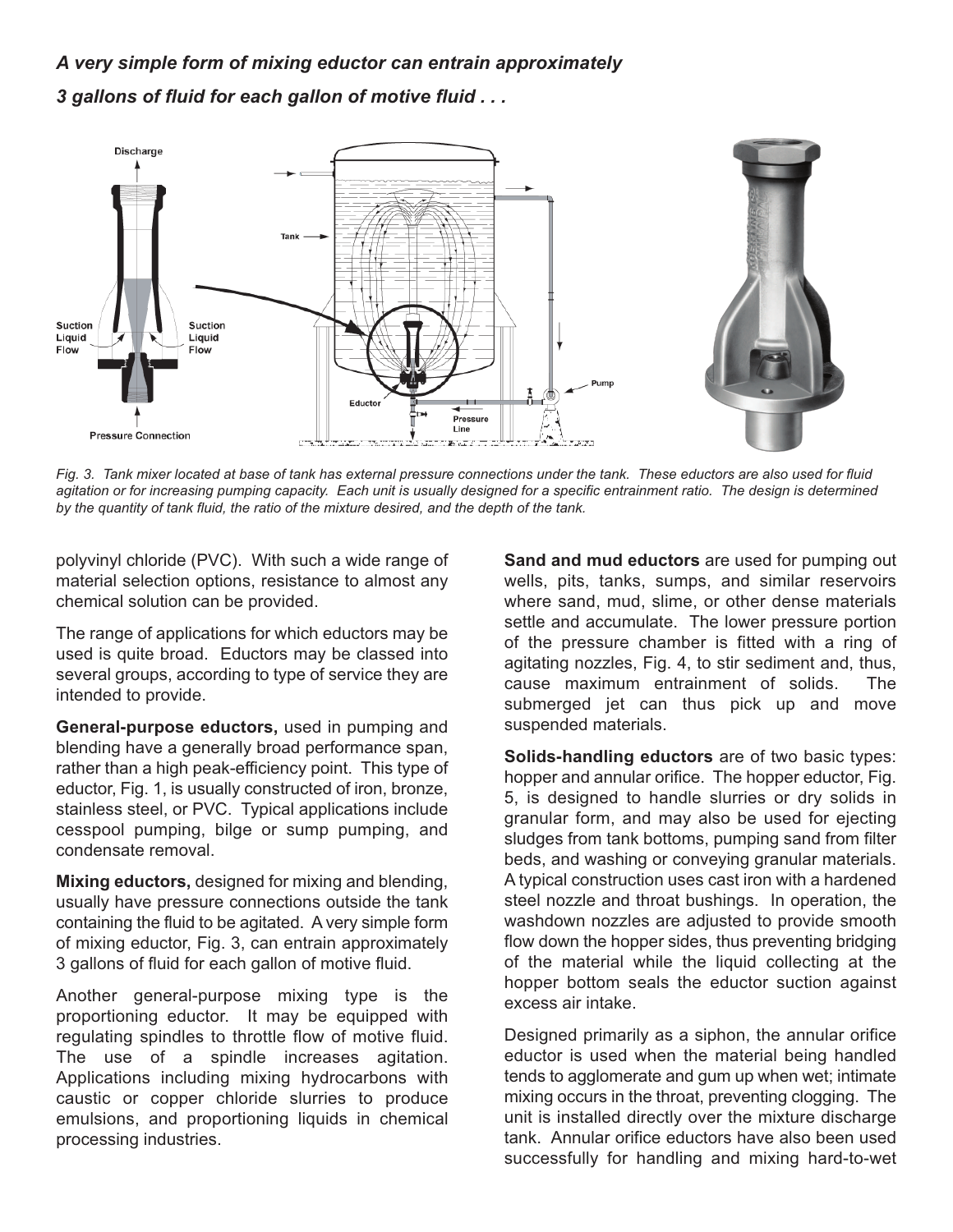## *A very simple form of mixing eductor can entrain approximately 3 gallons of fluid for each gallon of motive fluid . . .*



Fig. 3. Tank mixer located at base of tank has external pressure connections under the tank. These eductors are also used for fluid agitation or for increasing pumping capacity. Each unit is usually designed for a specific entrainment ratio. The design is determined *by the quantity of tank fluid, the ratio of the mixture desired, and the depth of the tank.*

polyvinyl chloride (PVC). With such a wide range of material selection options, resistance to almost any chemical solution can be provided.

The range of applications for which eductors may be used is quite broad. Eductors may be classed into several groups, according to type of service they are intended to provide.

**General-purpose eductors,** used in pumping and blending have a generally broad performance span, rather than a high peak-efficiency point. This type of eductor, Fig. 1, is usually constructed of iron, bronze, stainless steel, or PVC. Typical applications include cesspool pumping, bilge or sump pumping, and condensate removal.

**Mixing eductors,** designed for mixing and blending, usually have pressure connections outside the tank containing the fluid to be agitated. A very simple form of mixing eductor, Fig. 3, can entrain approximately 3 gallons of fluid for each gallon of motive fluid.

Another general-purpose mixing type is the proportioning eductor. It may be equipped with regulating spindles to throttle flow of motive fluid. The use of a spindle increases agitation. Applications including mixing hydrocarbons with caustic or copper chloride slurries to produce emulsions, and proportioning liquids in chemical processing industries.

**Sand and mud eductors** are used for pumping out wells, pits, tanks, sumps, and similar reservoirs where sand, mud, slime, or other dense materials settle and accumulate. The lower pressure portion of the pressure chamber is fitted with a ring of agitating nozzles, Fig. 4, to stir sediment and, thus, cause maximum entrainment of solids. The submerged jet can thus pick up and move suspended materials.

**Solids-handling eductors** are of two basic types: hopper and annular orifice. The hopper eductor, Fig. 5, is designed to handle slurries or dry solids in granular form, and may also be used for ejecting sludges from tank bottoms, pumping sand from filter beds, and washing or conveying granular materials. A typical construction uses cast iron with a hardened steel nozzle and throat bushings. In operation, the washdown nozzles are adjusted to provide smooth flow down the hopper sides, thus preventing bridging of the material while the liquid collecting at the hopper bottom seals the eductor suction against excess air intake.

Designed primarily as a siphon, the annular orifice eductor is used when the material being handled tends to agglomerate and gum up when wet; intimate mixing occurs in the throat, preventing clogging. The unit is installed directly over the mixture discharge tank. Annular orifice eductors have also been used successfully for handling and mixing hard-to-wet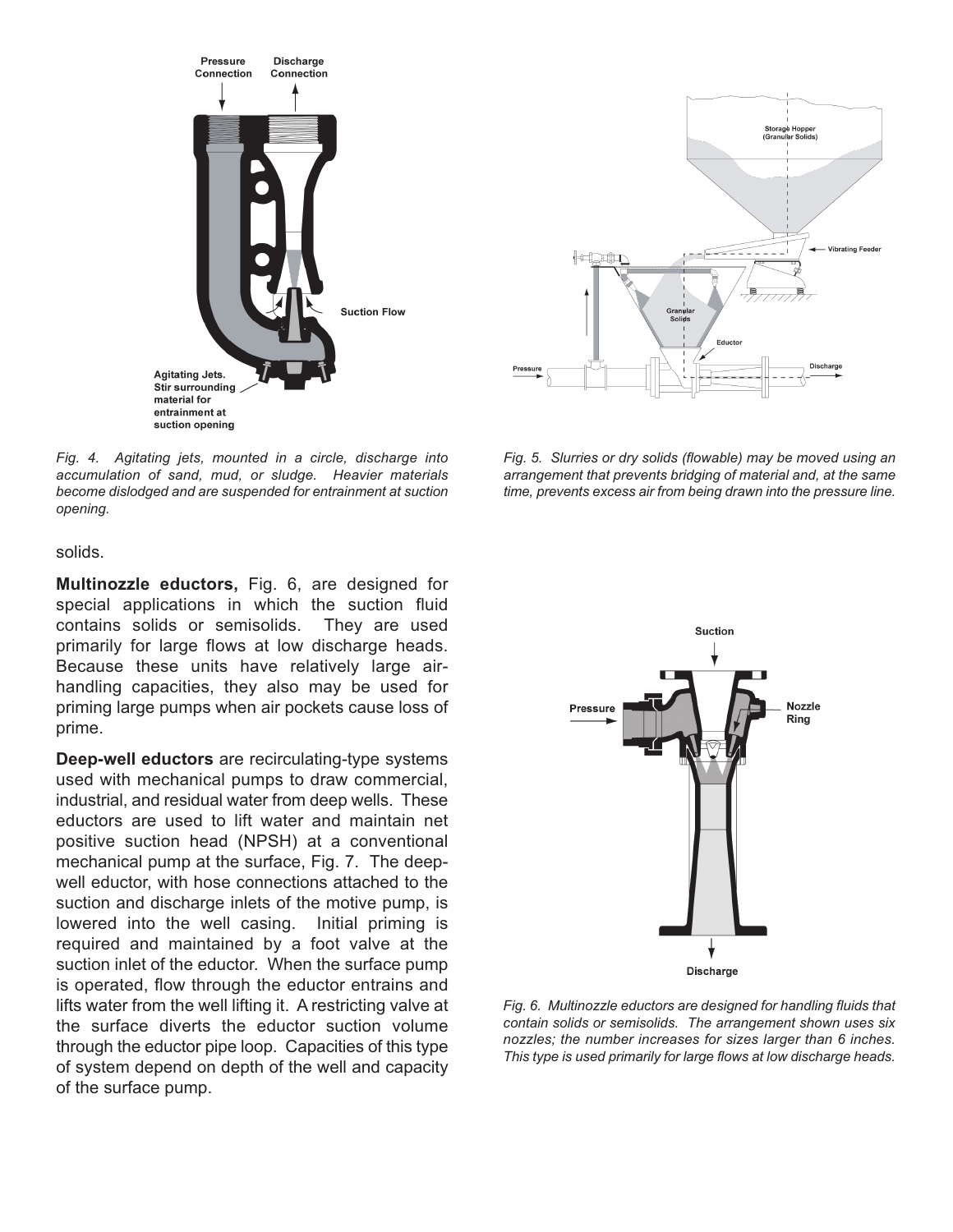

*Fig. 4. Agitating jets, mounted in a circle, discharge into accumulation of sand, mud, or sludge. Heavier materials become dislodged and are suspended for entrainment at suction opening.*

solids.

**Multinozzle eductors,** Fig. 6, are designed for special applications in which the suction fluid contains solids or semisolids. They are used primarily for large flows at low discharge heads. Because these units have relatively large airhandling capacities, they also may be used for priming large pumps when air pockets cause loss of prime.

**Deep-well eductors** are recirculating-type systems used with mechanical pumps to draw commercial, industrial, and residual water from deep wells. These eductors are used to lift water and maintain net positive suction head (NPSH) at a conventional mechanical pump at the surface, Fig. 7. The deepwell eductor, with hose connections attached to the suction and discharge inlets of the motive pump, is lowered into the well casing. Initial priming is required and maintained by a foot valve at the suction inlet of the eductor. When the surface pump is operated, flow through the eductor entrains and lifts water from the well lifting it. A restricting valve at the surface diverts the eductor suction volume through the eductor pipe loop. Capacities of this type of system depend on depth of the well and capacity of the surface pump.



*Fig. 5. Slurries or dry solids (flowable) may be moved using an arrangement that prevents bridging of material and, at the same time, prevents excess air from being drawn into the pressure line.*



*Fig. 6. Multinozzle eductors are designed for handling fluids that contain solids or semisolids. The arrangement shown uses six nozzles; the number increases for sizes larger than 6 inches. This type is used primarily for large flows at low discharge heads.*